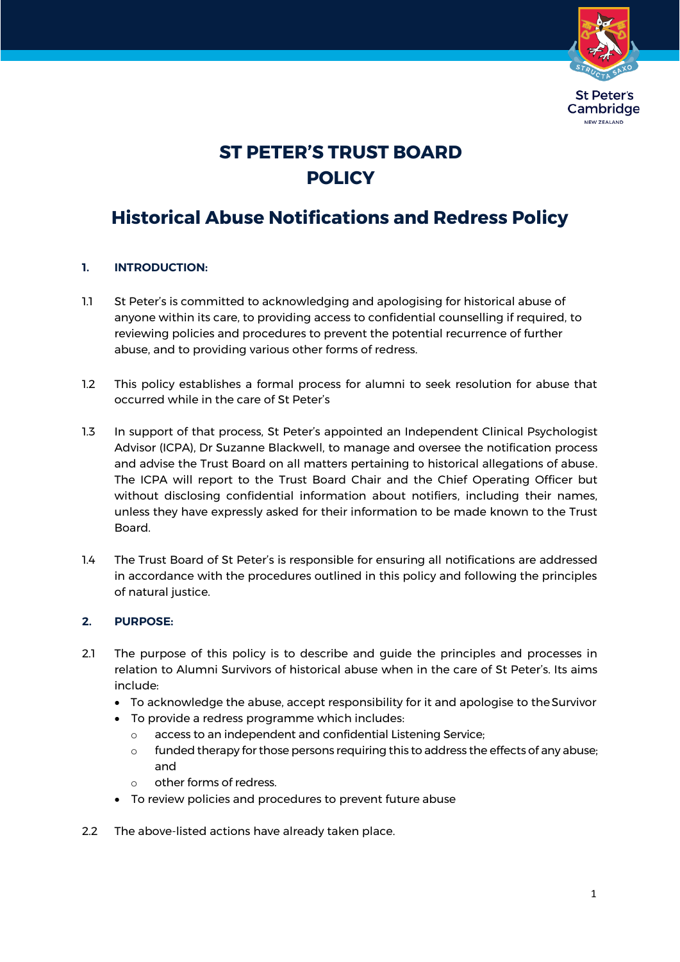

# **ST PETER'S TRUST BOARD POLICY**

# **Historical Abuse Notifications and Redress Policy**

# **1. INTRODUCTION:**

- 1.1 St Peter's is committed to acknowledging and apologising for historical abuse of anyone within its care, to providing access to confidential counselling if required, to reviewing policies and procedures to prevent the potential recurrence of further abuse, and to providing various other forms of redress.
- 1.2 This policy establishes a formal process for alumni to seek resolution for abuse that occurred while in the care of St Peter's
- 1.3 In support of that process, St Peter's appointed an Independent Clinical Psychologist Advisor (ICPA), Dr Suzanne Blackwell, to manage and oversee the notification process and advise the Trust Board on all matters pertaining to historical allegations of abuse. The ICPA will report to the Trust Board Chair and the Chief Operating Officer but without disclosing confidential information about notifiers, including their names, unless they have expressly asked for their information to be made known to the Trust Board.
- 1.4 The Trust Board of St Peter's is responsible for ensuring all notifications are addressed in accordance with the procedures outlined in this policy and following the principles of natural justice.

# **2. PURPOSE:**

- 2.1 The purpose of this policy is to describe and guide the principles and processes in relation to Alumni Survivors of historical abuse when in the care of St Peter's. Its aims include:
	- To acknowledge the abuse, accept responsibility for it and apologise to theSurvivor
	- To provide a redress programme which includes:
		- o access to an independent and confidential Listening Service;
		- $\circ$  funded therapy for those persons requiring this to address the effects of any abuse; and
		- o other forms of redress.
	- To review policies and procedures to prevent future abuse
- 2.2 The above-listed actions have already taken place.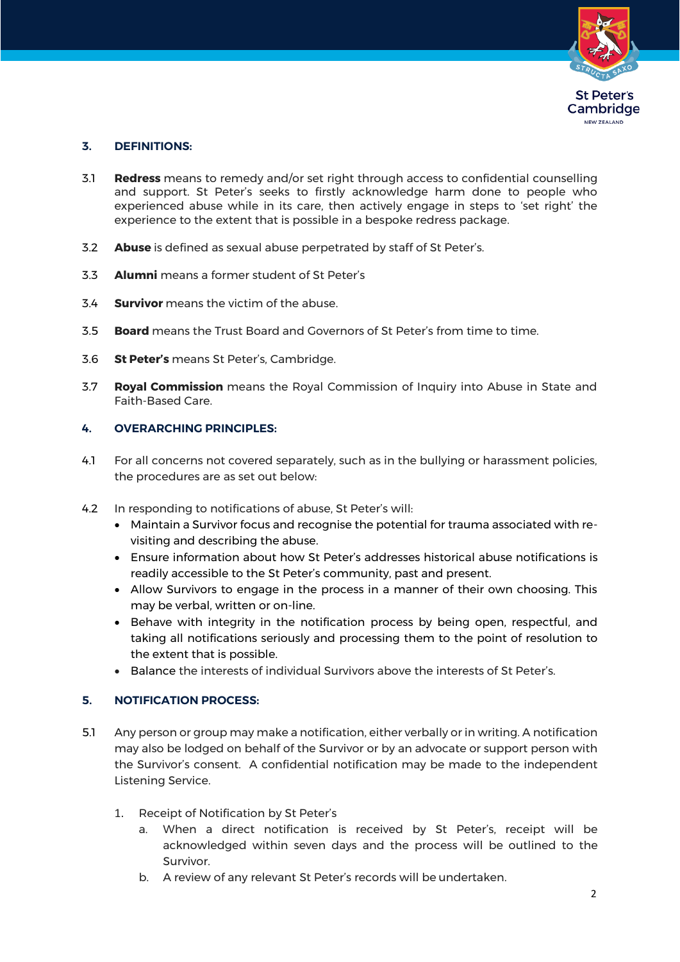

# **3. DEFINITIONS:**

- 3.1 **Redress** means to remedy and/or set right through access to confidential counselling and support. St Peter's seeks to firstly acknowledge harm done to people who experienced abuse while in its care, then actively engage in steps to 'set right' the experience to the extent that is possible in a bespoke redress package.
- 3.2 **Abuse** is defined as sexual abuse perpetrated by staff of St Peter's.
- 3.3 **Alumni** means a former student of St Peter's
- 3.4 **Survivor** means the victim of the abuse.
- 3.5 **Board** means the Trust Board and Governors of St Peter's from time to time.
- 3.6 **St Peter's** means St Peter's, Cambridge.
- 3.7 **Royal Commission** means the Royal Commission of Inquiry into Abuse in State and Faith-Based Care.

#### **4. OVERARCHING PRINCIPLES:**

- 4.1 For all concerns not covered separately, such as in the bullying or harassment policies, the procedures are as set out below:
- 4.2 In responding to notifications of abuse, St Peter's will:
	- Maintain a Survivor focus and recognise the potential for trauma associated with revisiting and describing the abuse.
	- Ensure information about how St Peter's addresses historical abuse notifications is readily accessible to the St Peter's community, past and present.
	- Allow Survivors to engage in the process in a manner of their own choosing. This may be verbal, written or on-line.
	- Behave with integrity in the notification process by being open, respectful, and taking all notifications seriously and processing them to the point of resolution to the extent that is possible.
	- Balance the interests of individual Survivors above the interests of St Peter's.

# **5. NOTIFICATION PROCESS:**

- 5.1 Any person or group may make a notification, either verbally or in writing. A notification may also be lodged on behalf of the Survivor or by an advocate or support person with the Survivor's consent. A confidential notification may be made to the independent Listening Service.
	- 1. Receipt of Notification by St Peter's
		- a. When a direct notification is received by St Peter's, receipt will be acknowledged within seven days and the process will be outlined to the Survivor.
		- b. A review of any relevant St Peter's records will be undertaken.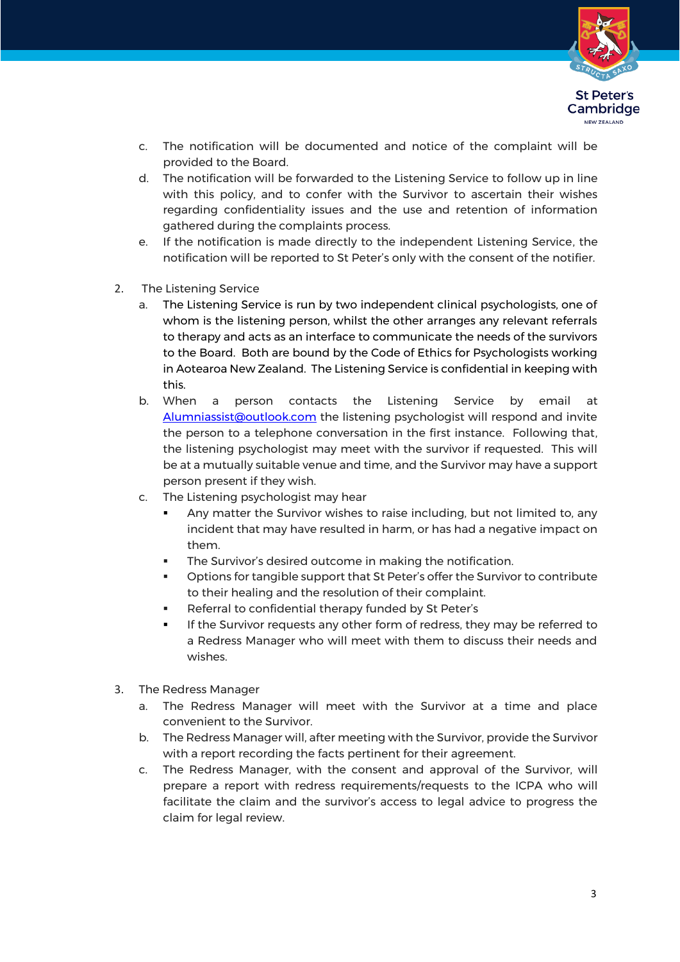

- c. The notification will be documented and notice of the complaint will be provided to the Board.
- d. The notification will be forwarded to the Listening Service to follow up in line with this policy, and to confer with the Survivor to ascertain their wishes regarding confidentiality issues and the use and retention of information gathered during the complaints process.
- e. If the notification is made directly to the independent Listening Service, the notification will be reported to St Peter's only with the consent of the notifier.
- 2. The Listening Service
	- a. The Listening Service is run by two independent clinical psychologists, one of whom is the listening person, whilst the other arranges any relevant referrals to therapy and acts as an interface to communicate the needs of the survivors to the Board. Both are bound by the Code of Ethics for Psychologists working in Aotearoa New Zealand. The Listening Service is confidential in keeping with this.
	- b. When a person contacts the Listening Service by email at [Alumniassist@outlook.com](mailto:Alumniassist@outlook.com) the listening psychologist will respond and invite the person to a telephone conversation in the first instance. Following that, the listening psychologist may meet with the survivor if requested. This will be at a mutually suitable venue and time, and the Survivor may have a support person present if they wish.
	- c. The Listening psychologist may hear
		- Any matter the Survivor wishes to raise including, but not limited to, any incident that may have resulted in harm, or has had a negative impact on them.
		- The Survivor's desired outcome in making the notification.
		- Options for tangible support that St Peter's offer the Survivor to contribute to their healing and the resolution of their complaint.
		- Referral to confidential therapy funded by St Peter's
		- **.** If the Survivor requests any other form of redress, they may be referred to a Redress Manager who will meet with them to discuss their needs and wishes.
- 3. The Redress Manager
	- a. The Redress Manager will meet with the Survivor at a time and place convenient to the Survivor.
	- b. The Redress Manager will, after meeting with the Survivor, provide the Survivor with a report recording the facts pertinent for their agreement.
	- c. The Redress Manager, with the consent and approval of the Survivor, will prepare a report with redress requirements/requests to the ICPA who will facilitate the claim and the survivor's access to legal advice to progress the claim for legal review.